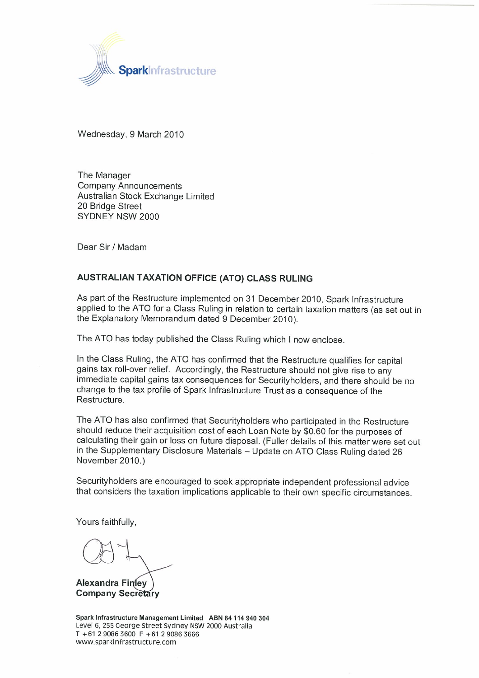

Wednesday, 9 March 2010

The Manager **Company Announcements** Australian Stock Exchange Limited 20 Bridge Street SYDNEY NSW 2000

Dear Sir / Madam

# AUSTRALIAN TAXATION OFFICE (ATO) CLASS RULING

As part of the Restructure implemented on 31 December 2010, Spark Infrastructure applied to the ATO for a Class Ruling in relation to certain taxation matters (as set out in the Explanatory Memorandum dated 9 December 2010).

The ATO has today published the Class Ruling which I now enclose.

In the Class Ruling, the ATO has confirmed that the Restructure qualifies for capital gains tax roll-over relief. Accordingly, the Restructure should not give rise to any immediate capital gains tax consequences for Securityholders, and there should be no change to the tax profile of Spark Infrastructure Trust as a consequence of the Restructure.

The ATO has also confirmed that Securityholders who participated in the Restructure should reduce their acquisition cost of each Loan Note by \$0.60 for the purposes of calculating their gain or loss on future disposal. (Fuller details of this matter were set out in the Supplementary Disclosure Materials - Update on ATO Class Ruling dated 26 November 2010.)

Securityholders are encouraged to seek appropriate independent professional advice that considers the taxation implications applicable to their own specific circumstances.

Yours faithfully,

**Alexandra Finley Company Secretary** 

Spark Infrastructure Management Limited ABN 84 114 940 304 Level 6, 255 George Street Sydney NSW 2000 Australia  $T + 61290863600 F + 61290863666$ www.sparkinfrastructure.com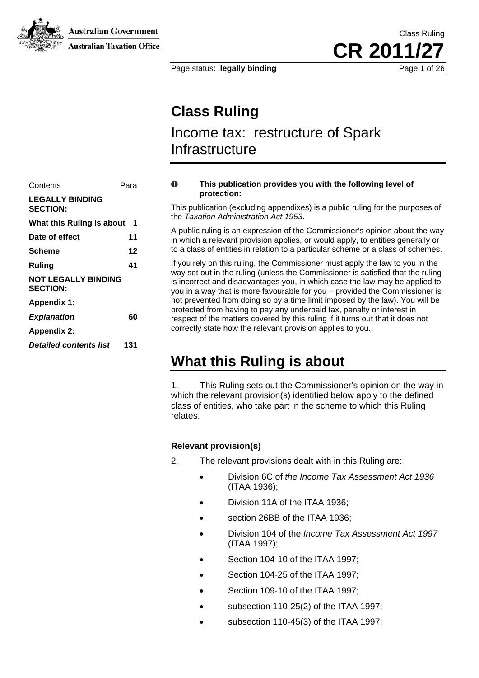**Australian Government** 



**Australian Taxation Office** 

Page status: **legally binding** Page 1 of 26

# **Class Ruling**

# Income tax: restructure of Spark **Infrastructure**

# Contents Para **LEGALLY BINDING SECTION: What this Ruling is about 1**  Date of effect 11 **Ruling 41 NOT LEGALLY BINDING SECTION: Appendix 1:**   $Explanation$  60 **Appendix 2:**  *Detailed contents list* **131**

#### $\Omega$ **This publication provides you with the following level of protection:**

This publication (excluding appendixes) is a public ruling for the purposes of the *Taxation Administration Act 1953*.

A public ruling is an expression of the Commissioner's opinion about the way in which a relevant provision applies, or would apply, to entities generally or **Scheme 12** 12 to a class of entities in relation to a particular scheme or a class of schemes.

> If you rely on this ruling, the Commissioner must apply the law to you in the way set out in the ruling (unless the Commissioner is satisfied that the ruling is incorrect and disadvantages you, in which case the law may be applied to you in a way that is more favourable for you – provided the Commissioner is not prevented from doing so by a time limit imposed by the law). You will be protected from having to pay any underpaid tax, penalty or interest in respect of the matters covered by this ruling if it turns out that it does not correctly state how the relevant provision applies to you.

# **What this Ruling is about**

1. This Ruling sets out the Commissioner's opinion on the way in which the relevant provision(s) identified below apply to the defined class of entities, who take part in the scheme to which this Ruling relates.

# **Relevant provision(s)**

- 2. The relevant provisions dealt with in this Ruling are:
	- Division 6C of *the Income Tax Assessment Act 1936* (ITAA 1936);
	- Division 11A of the ITAA 1936;
	- section 26BB of the ITAA 1936:
	- Division 104 of the *Income Tax Assessment Act 1997* (ITAA 1997);
	- Section 104-10 of the ITAA 1997;
	- Section 104-25 of the ITAA 1997;
	- Section 109-10 of the ITAA 1997;
	- subsection 110-25(2) of the ITAA 1997;
	- subsection 110-45(3) of the ITAA 1997;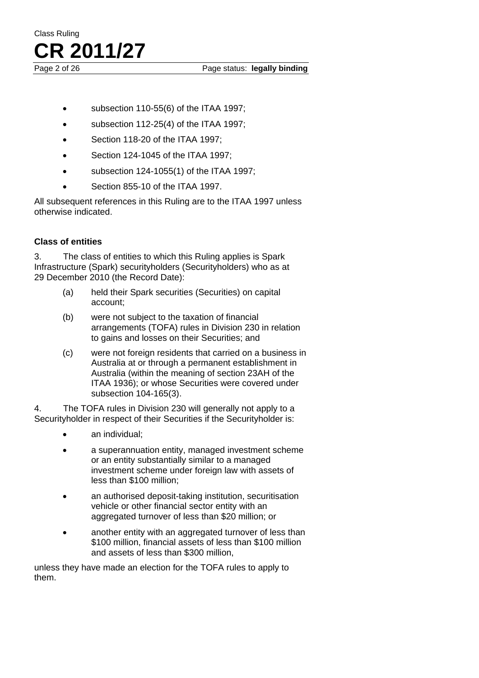Page 2 of 26 Page status: **legally binding** 

- subsection 110-55(6) of the ITAA 1997;
- subsection 112-25(4) of the ITAA 1997;
- Section 118-20 of the ITAA 1997;
- Section 124-1045 of the ITAA 1997;
- subsection 124-1055(1) of the ITAA 1997;
- Section 855-10 of the ITAA 1997.

All subsequent references in this Ruling are to the ITAA 1997 unless otherwise indicated.

# **Class of entities**

3. The class of entities to which this Ruling applies is Spark Infrastructure (Spark) securityholders (Securityholders) who as at 29 December 2010 (the Record Date):

- (a) held their Spark securities (Securities) on capital account;
- (b) were not subject to the taxation of financial arrangements (TOFA) rules in Division 230 in relation to gains and losses on their Securities; and
- (c) were not foreign residents that carried on a business in Australia at or through a permanent establishment in Australia (within the meaning of section 23AH of the ITAA 1936); or whose Securities were covered under subsection 104-165(3).

4. The TOFA rules in Division 230 will generally not apply to a Securityholder in respect of their Securities if the Securityholder is:

- an individual;
- a superannuation entity, managed investment scheme or an entity substantially similar to a managed investment scheme under foreign law with assets of less than \$100 million;
- an authorised deposit-taking institution, securitisation vehicle or other financial sector entity with an aggregated turnover of less than \$20 million; or
- another entity with an aggregated turnover of less than \$100 million, financial assets of less than \$100 million and assets of less than \$300 million,

unless they have made an election for the TOFA rules to apply to them.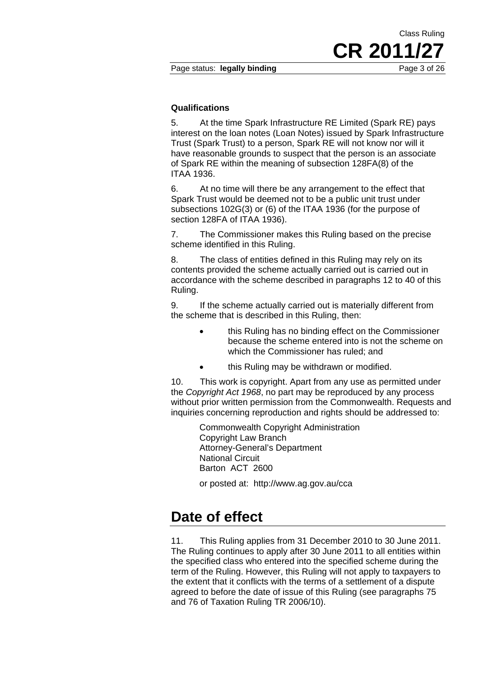**CR 2011/27**

Class Ruling

### **Qualifications**

5. At the time Spark Infrastructure RE Limited (Spark RE) pays interest on the loan notes (Loan Notes) issued by Spark Infrastructure Trust (Spark Trust) to a person, Spark RE will not know nor will it have reasonable grounds to suspect that the person is an associate of Spark RE within the meaning of subsection 128FA(8) of the ITAA 1936.

6. At no time will there be any arrangement to the effect that Spark Trust would be deemed not to be a public unit trust under subsections 102G(3) or (6) of the ITAA 1936 (for the purpose of section 128FA of ITAA 1936).

7. The Commissioner makes this Ruling based on the precise scheme identified in this Ruling.

8. The class of entities defined in this Ruling may rely on its contents provided the scheme actually carried out is carried out in accordance with the scheme described in paragraphs 12 to 40 of this Ruling.

9. If the scheme actually carried out is materially different from the scheme that is described in this Ruling, then:

- this Ruling has no binding effect on the Commissioner because the scheme entered into is not the scheme on which the Commissioner has ruled; and
- this Ruling may be withdrawn or modified.

10. This work is copyright. Apart from any use as permitted under the *Copyright Act 1968*, no part may be reproduced by any process without prior written permission from the Commonwealth. Requests and inquiries concerning reproduction and rights should be addressed to:

> Commonwealth Copyright Administration Copyright Law Branch Attorney-General's Department National Circuit Barton ACT 2600

or posted at: http://www.ag.gov.au/cca

# **Date of effect**

11. This Ruling applies from 31 December 2010 to 30 June 2011. The Ruling continues to apply after 30 June 2011 to all entities within the specified class who entered into the specified scheme during the term of the Ruling. However, this Ruling will not apply to taxpayers to the extent that it conflicts with the terms of a settlement of a dispute agreed to before the date of issue of this Ruling (see paragraphs 75 and 76 of Taxation Ruling TR 2006/10).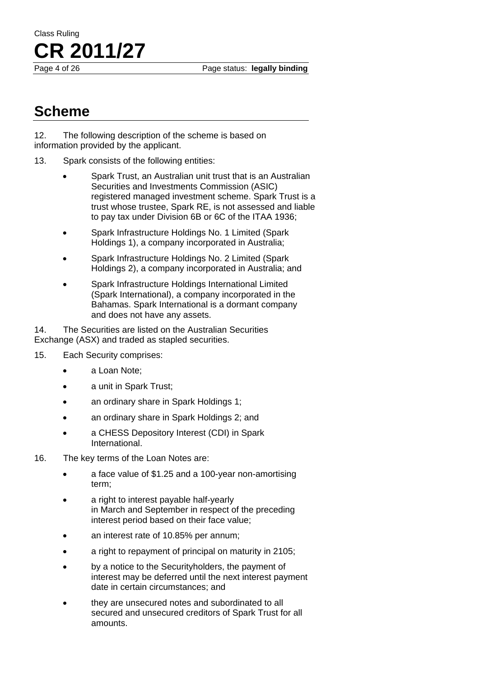Page 4 of 26 Page status: **legally binding** 

# **Scheme**

12. The following description of the scheme is based on information provided by the applicant.

- 13. Spark consists of the following entities:
	- Spark Trust, an Australian unit trust that is an Australian Securities and Investments Commission (ASIC) registered managed investment scheme. Spark Trust is a trust whose trustee, Spark RE, is not assessed and liable to pay tax under Division 6B or 6C of the ITAA 1936;
	- Spark Infrastructure Holdings No. 1 Limited (Spark Holdings 1), a company incorporated in Australia;
	- Spark Infrastructure Holdings No. 2 Limited (Spark Holdings 2), a company incorporated in Australia; and
	- Spark Infrastructure Holdings International Limited (Spark International), a company incorporated in the Bahamas. Spark International is a dormant company and does not have any assets.

14. The Securities are listed on the Australian Securities Exchange (ASX) and traded as stapled securities.

- 15. Each Security comprises:
	- a Loan Note;
	- a unit in Spark Trust;
	- an ordinary share in Spark Holdings 1;
	- an ordinary share in Spark Holdings 2; and
	- a CHESS Depository Interest (CDI) in Spark International.
- 16. The key terms of the Loan Notes are:
	- a face value of \$1.25 and a 100-year non-amortising term;
	- a right to interest payable half-yearly in March and September in respect of the preceding interest period based on their face value;
	- an interest rate of 10.85% per annum:
	- a right to repayment of principal on maturity in 2105;
	- by a notice to the Securityholders, the payment of interest may be deferred until the next interest payment date in certain circumstances; and
	- they are unsecured notes and subordinated to all secured and unsecured creditors of Spark Trust for all amounts.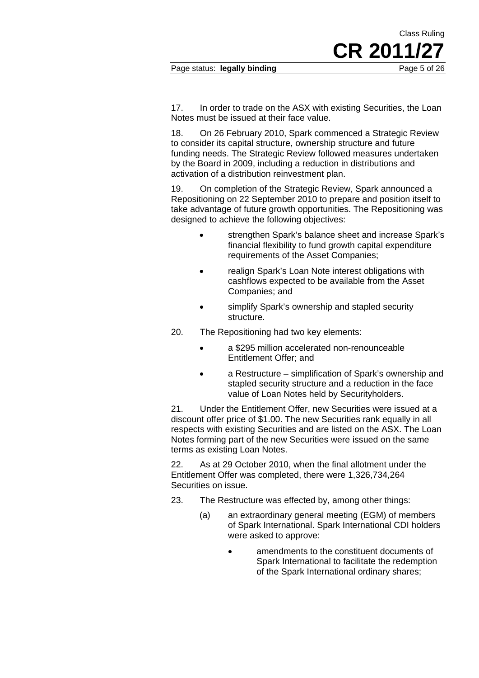**CR 2011/27**

Class Ruling

17. In order to trade on the ASX with existing Securities, the Loan Notes must be issued at their face value.

18. On 26 February 2010, Spark commenced a Strategic Review to consider its capital structure, ownership structure and future funding needs. The Strategic Review followed measures undertaken by the Board in 2009, including a reduction in distributions and activation of a distribution reinvestment plan.

19. On completion of the Strategic Review, Spark announced a Repositioning on 22 September 2010 to prepare and position itself to take advantage of future growth opportunities. The Repositioning was designed to achieve the following objectives:

- strengthen Spark's balance sheet and increase Spark's financial flexibility to fund growth capital expenditure requirements of the Asset Companies;
- realign Spark's Loan Note interest obligations with cashflows expected to be available from the Asset Companies; and
- simplify Spark's ownership and stapled security structure.
- 20. The Repositioning had two key elements:
	- a \$295 million accelerated non-renounceable Entitlement Offer; and
	- a Restructure simplification of Spark's ownership and stapled security structure and a reduction in the face value of Loan Notes held by Securityholders.

21. Under the Entitlement Offer, new Securities were issued at a discount offer price of \$1.00. The new Securities rank equally in all respects with existing Securities and are listed on the ASX. The Loan Notes forming part of the new Securities were issued on the same terms as existing Loan Notes.

22. As at 29 October 2010, when the final allotment under the Entitlement Offer was completed, there were 1,326,734,264 Securities on issue.

- 23. The Restructure was effected by, among other things:
	- (a) an extraordinary general meeting (EGM) of members of Spark International. Spark International CDI holders were asked to approve:
		- amendments to the constituent documents of Spark International to facilitate the redemption of the Spark International ordinary shares;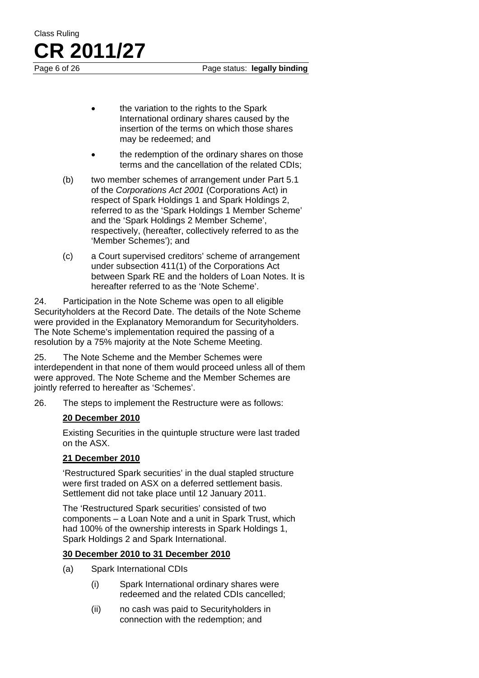Page 6 of 26 Page status: **legally binding** 

- the variation to the rights to the Spark International ordinary shares caused by the insertion of the terms on which those shares may be redeemed; and
- the redemption of the ordinary shares on those terms and the cancellation of the related CDIs;
- (b) two member schemes of arrangement under Part 5.1 of the *Corporations Act 2001* (Corporations Act) in respect of Spark Holdings 1 and Spark Holdings 2, referred to as the 'Spark Holdings 1 Member Scheme' and the 'Spark Holdings 2 Member Scheme', respectively, (hereafter, collectively referred to as the 'Member Schemes'); and
- (c) a Court supervised creditors' scheme of arrangement under subsection 411(1) of the Corporations Act between Spark RE and the holders of Loan Notes. It is hereafter referred to as the 'Note Scheme'.

24. Participation in the Note Scheme was open to all eligible Securityholders at the Record Date. The details of the Note Scheme were provided in the Explanatory Memorandum for Securityholders. The Note Scheme's implementation required the passing of a resolution by a 75% majority at the Note Scheme Meeting.

25. The Note Scheme and the Member Schemes were interdependent in that none of them would proceed unless all of them were approved. The Note Scheme and the Member Schemes are jointly referred to hereafter as 'Schemes'.

26. The steps to implement the Restructure were as follows:

# **20 December 2010**

Class Ruling

**CR 2011/27**

Existing Securities in the quintuple structure were last traded on the ASX.

# **21 December 2010**

'Restructured Spark securities' in the dual stapled structure were first traded on ASX on a deferred settlement basis. Settlement did not take place until 12 January 2011.

The 'Restructured Spark securities' consisted of two components – a Loan Note and a unit in Spark Trust, which had 100% of the ownership interests in Spark Holdings 1, Spark Holdings 2 and Spark International.

# **30 December 2010 to 31 December 2010**

- (a) Spark International CDIs
	- (i) Spark International ordinary shares were redeemed and the related CDIs cancelled;
	- (ii) no cash was paid to Securityholders in connection with the redemption; and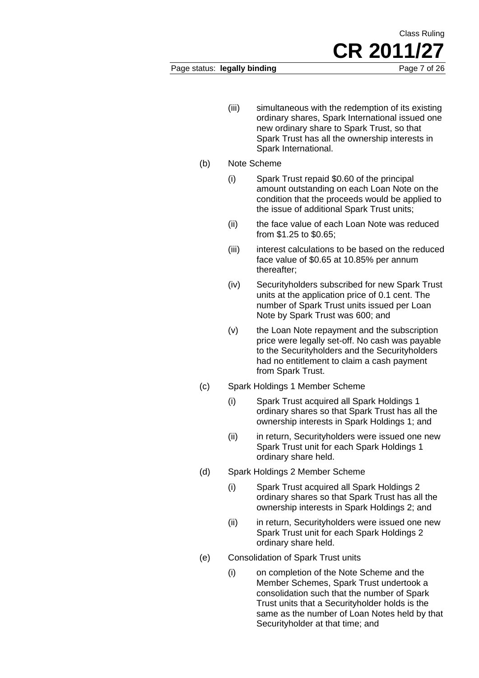### Page status: **legally binding** Page 7 of 26

**CR 2011/27**

Class Ruling

- (iii) simultaneous with the redemption of its existing ordinary shares, Spark International issued one new ordinary share to Spark Trust, so that Spark Trust has all the ownership interests in Spark International.
- (b) Note Scheme
	- (i) Spark Trust repaid \$0.60 of the principal amount outstanding on each Loan Note on the condition that the proceeds would be applied to the issue of additional Spark Trust units;
	- (ii) the face value of each Loan Note was reduced from \$1.25 to \$0.65;
	- (iii) interest calculations to be based on the reduced face value of \$0.65 at 10.85% per annum thereafter;
	- (iv) Securityholders subscribed for new Spark Trust units at the application price of 0.1 cent. The number of Spark Trust units issued per Loan Note by Spark Trust was 600; and
	- (v) the Loan Note repayment and the subscription price were legally set-off. No cash was payable to the Securityholders and the Securityholders had no entitlement to claim a cash payment from Spark Trust.
- (c) Spark Holdings 1 Member Scheme
	- (i) Spark Trust acquired all Spark Holdings 1 ordinary shares so that Spark Trust has all the ownership interests in Spark Holdings 1; and
	- (ii) in return, Securityholders were issued one new Spark Trust unit for each Spark Holdings 1 ordinary share held.
- (d) Spark Holdings 2 Member Scheme
	- (i) Spark Trust acquired all Spark Holdings 2 ordinary shares so that Spark Trust has all the ownership interests in Spark Holdings 2; and
	- (ii) in return, Securityholders were issued one new Spark Trust unit for each Spark Holdings 2 ordinary share held.
- (e) Consolidation of Spark Trust units
	- (i) on completion of the Note Scheme and the Member Schemes, Spark Trust undertook a consolidation such that the number of Spark Trust units that a Securityholder holds is the same as the number of Loan Notes held by that Securityholder at that time; and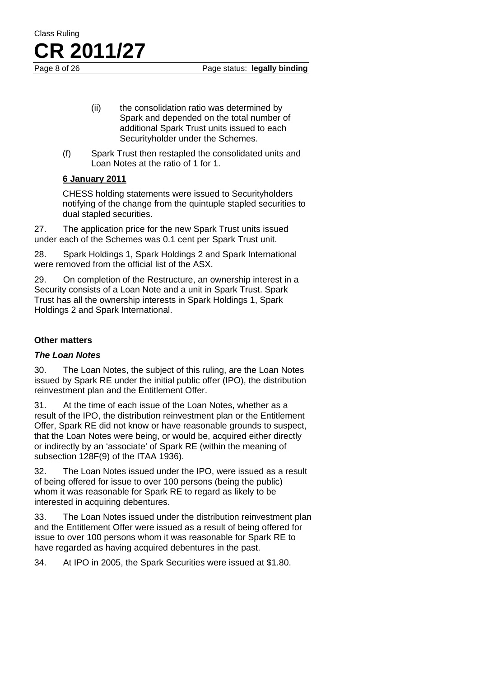Page 8 of 26 Page status: **legally binding** 

- (ii) the consolidation ratio was determined by Spark and depended on the total number of additional Spark Trust units issued to each Securityholder under the Schemes.
- (f) Spark Trust then restapled the consolidated units and Loan Notes at the ratio of 1 for 1.

# **6 January 2011**

**CR 2011/27**

Class Ruling

CHESS holding statements were issued to Securityholders notifying of the change from the quintuple stapled securities to dual stapled securities.

27. The application price for the new Spark Trust units issued under each of the Schemes was 0.1 cent per Spark Trust unit.

28. Spark Holdings 1, Spark Holdings 2 and Spark International were removed from the official list of the ASX.

29. On completion of the Restructure, an ownership interest in a Security consists of a Loan Note and a unit in Spark Trust. Spark Trust has all the ownership interests in Spark Holdings 1, Spark Holdings 2 and Spark International.

# **Other matters**

# *The Loan Notes*

30. The Loan Notes, the subject of this ruling, are the Loan Notes issued by Spark RE under the initial public offer (IPO), the distribution reinvestment plan and the Entitlement Offer.

31. At the time of each issue of the Loan Notes, whether as a result of the IPO, the distribution reinvestment plan or the Entitlement Offer, Spark RE did not know or have reasonable grounds to suspect, that the Loan Notes were being, or would be, acquired either directly or indirectly by an 'associate' of Spark RE (within the meaning of subsection 128F(9) of the ITAA 1936).

32. The Loan Notes issued under the IPO, were issued as a result of being offered for issue to over 100 persons (being the public) whom it was reasonable for Spark RE to regard as likely to be interested in acquiring debentures.

33. The Loan Notes issued under the distribution reinvestment plan and the Entitlement Offer were issued as a result of being offered for issue to over 100 persons whom it was reasonable for Spark RE to have regarded as having acquired debentures in the past.

34. At IPO in 2005, the Spark Securities were issued at \$1.80.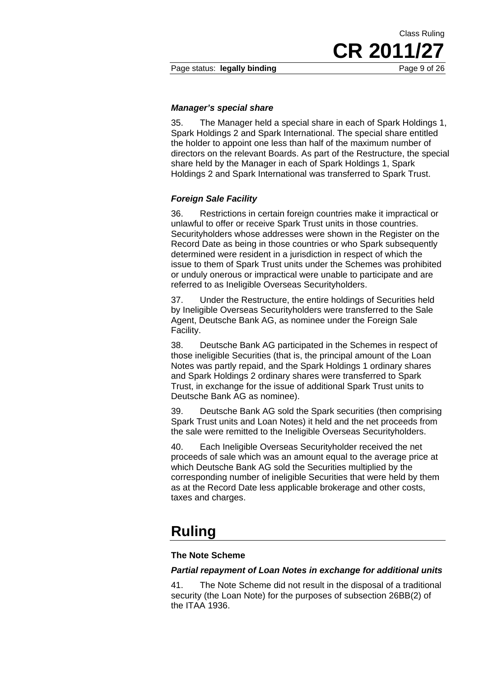**CR 2011/27**

Class Ruling

#### *Manager's special share*

35. The Manager held a special share in each of Spark Holdings 1, Spark Holdings 2 and Spark International. The special share entitled the holder to appoint one less than half of the maximum number of directors on the relevant Boards. As part of the Restructure, the special share held by the Manager in each of Spark Holdings 1, Spark Holdings 2 and Spark International was transferred to Spark Trust.

#### *Foreign Sale Facility*

36. Restrictions in certain foreign countries make it impractical or unlawful to offer or receive Spark Trust units in those countries. Securityholders whose addresses were shown in the Register on the Record Date as being in those countries or who Spark subsequently determined were resident in a jurisdiction in respect of which the issue to them of Spark Trust units under the Schemes was prohibited or unduly onerous or impractical were unable to participate and are referred to as Ineligible Overseas Securityholders.

37. Under the Restructure, the entire holdings of Securities held by Ineligible Overseas Securityholders were transferred to the Sale Agent, Deutsche Bank AG, as nominee under the Foreign Sale Facility.

38. Deutsche Bank AG participated in the Schemes in respect of those ineligible Securities (that is, the principal amount of the Loan Notes was partly repaid, and the Spark Holdings 1 ordinary shares and Spark Holdings 2 ordinary shares were transferred to Spark Trust, in exchange for the issue of additional Spark Trust units to Deutsche Bank AG as nominee).

39. Deutsche Bank AG sold the Spark securities (then comprising Spark Trust units and Loan Notes) it held and the net proceeds from the sale were remitted to the Ineligible Overseas Securityholders.

40. Each Ineligible Overseas Securityholder received the net proceeds of sale which was an amount equal to the average price at which Deutsche Bank AG sold the Securities multiplied by the corresponding number of ineligible Securities that were held by them as at the Record Date less applicable brokerage and other costs, taxes and charges.

# **Ruling**

#### **The Note Scheme**

### *Partial repayment of Loan Notes in exchange for additional units*

41. The Note Scheme did not result in the disposal of a traditional security (the Loan Note) for the purposes of subsection 26BB(2) of the ITAA 1936.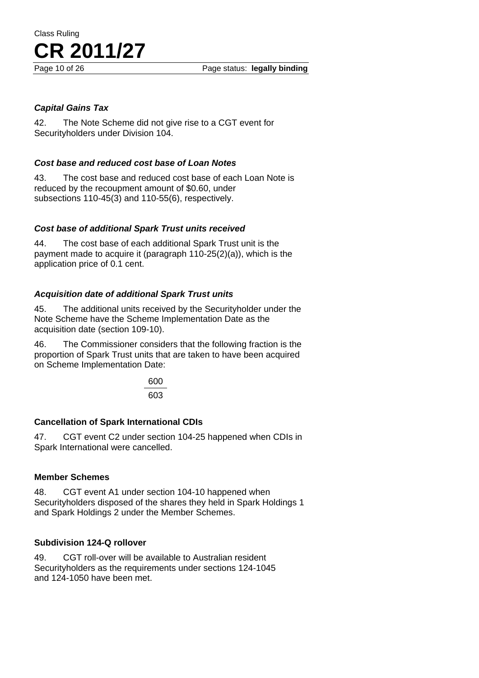# *Capital Gains Tax*

42. The Note Scheme did not give rise to a CGT event for Securityholders under Division 104.

# *Cost base and reduced cost base of Loan Notes*

43. The cost base and reduced cost base of each Loan Note is reduced by the recoupment amount of \$0.60, under subsections 110-45(3) and 110-55(6), respectively.

# *Cost base of additional Spark Trust units received*

44. The cost base of each additional Spark Trust unit is the payment made to acquire it (paragraph 110-25(2)(a)), which is the application price of 0.1 cent.

# *Acquisition date of additional Spark Trust units*

45. The additional units received by the Securityholder under the Note Scheme have the Scheme Implementation Date as the acquisition date (section 109-10).

46. The Commissioner considers that the following fraction is the proportion of Spark Trust units that are taken to have been acquired on Scheme Implementation Date:

> 600 603

# **Cancellation of Spark International CDIs**

47. CGT event C2 under section 104-25 happened when CDIs in Spark International were cancelled.

# **Member Schemes**

48. CGT event A1 under section 104-10 happened when Securityholders disposed of the shares they held in Spark Holdings 1 and Spark Holdings 2 under the Member Schemes.

# **Subdivision 124-Q rollover**

49. CGT roll-over will be available to Australian resident Securityholders as the requirements under sections 124-1045 and 124-1050 have been met.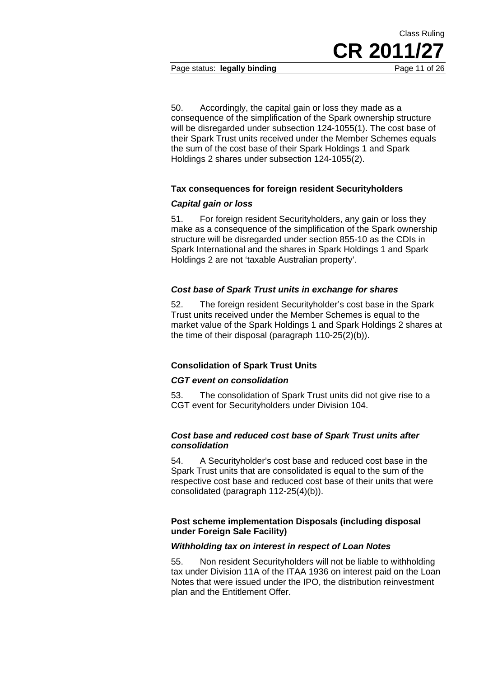Page status: **legally binding** Page 11 of 26

50. Accordingly, the capital gain or loss they made as a consequence of the simplification of the Spark ownership structure will be disregarded under subsection 124-1055(1). The cost base of their Spark Trust units received under the Member Schemes equals the sum of the cost base of their Spark Holdings 1 and Spark Holdings 2 shares under subsection 124-1055(2).

# **Tax consequences for foreign resident Securityholders**

### *Capital gain or loss*

51. For foreign resident Securityholders, any gain or loss they make as a consequence of the simplification of the Spark ownership structure will be disregarded under section 855-10 as the CDIs in Spark International and the shares in Spark Holdings 1 and Spark Holdings 2 are not 'taxable Australian property'.

### *Cost base of Spark Trust units in exchange for shares*

52. The foreign resident Securityholder's cost base in the Spark Trust units received under the Member Schemes is equal to the market value of the Spark Holdings 1 and Spark Holdings 2 shares at the time of their disposal (paragraph 110-25(2)(b)).

### **Consolidation of Spark Trust Units**

### *CGT event on consolidation*

53. The consolidation of Spark Trust units did not give rise to a CGT event for Securityholders under Division 104.

### *Cost base and reduced cost base of Spark Trust units after consolidation*

54. A Securityholder's cost base and reduced cost base in the Spark Trust units that are consolidated is equal to the sum of the respective cost base and reduced cost base of their units that were consolidated (paragraph 112-25(4)(b)).

### **Post scheme implementation Disposals (including disposal under Foreign Sale Facility)**

### *Withholding tax on interest in respect of Loan Notes*

55. Non resident Securityholders will not be liable to withholding tax under Division 11A of the ITAA 1936 on interest paid on the Loan Notes that were issued under the IPO, the distribution reinvestment plan and the Entitlement Offer.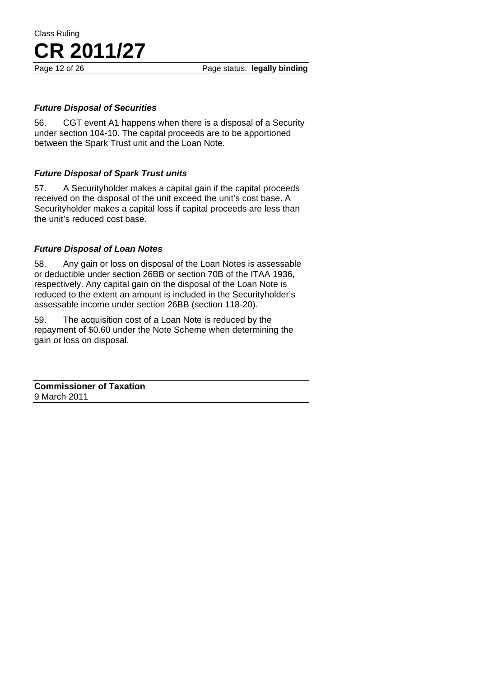# *Future Disposal of Securities*

56. CGT event A1 happens when there is a disposal of a Security under section 104-10. The capital proceeds are to be apportioned between the Spark Trust unit and the Loan Note.

# *Future Disposal of Spark Trust units*

57. A Securityholder makes a capital gain if the capital proceeds received on the disposal of the unit exceed the unit's cost base. A Securityholder makes a capital loss if capital proceeds are less than the unit's reduced cost base.

# *Future Disposal of Loan Notes*

58. Any gain or loss on disposal of the Loan Notes is assessable or deductible under section 26BB or section 70B of the ITAA 1936, respectively. Any capital gain on the disposal of the Loan Note is reduced to the extent an amount is included in the Securityholder's assessable income under section 26BB (section 118-20).

59. The acquisition cost of a Loan Note is reduced by the repayment of \$0.60 under the Note Scheme when determining the gain or loss on disposal.

**Commissioner of Taxation**  9 March 2011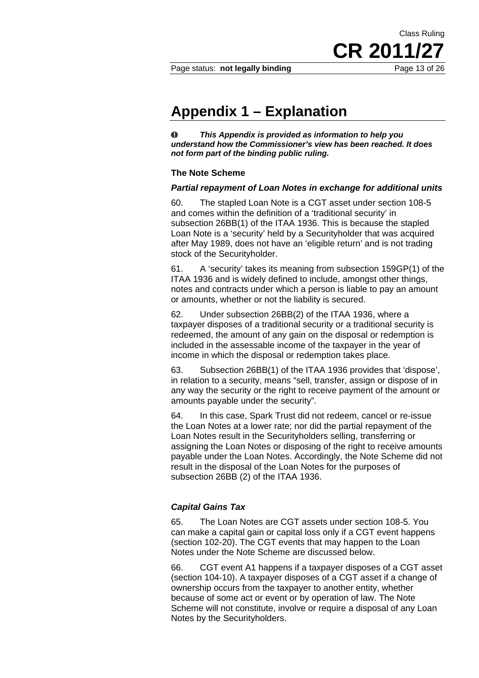**CR 2011/27**

Class Ruling

# **Appendix 1 – Explanation**

 $\bf{O}$ *This Appendix is provided as information to help you understand how the Commissioner's view has been reached. It does not form part of the binding public ruling.* 

#### **The Note Scheme**

#### *Partial repayment of Loan Notes in exchange for additional units*

60. The stapled Loan Note is a CGT asset under section 108-5 and comes within the definition of a 'traditional security' in subsection 26BB(1) of the ITAA 1936. This is because the stapled Loan Note is a 'security' held by a Securityholder that was acquired after May 1989, does not have an 'eligible return' and is not trading stock of the Securityholder.

61. A 'security' takes its meaning from subsection 159GP(1) of the ITAA 1936 and is widely defined to include, amongst other things, notes and contracts under which a person is liable to pay an amount or amounts, whether or not the liability is secured.

62. Under subsection 26BB(2) of the ITAA 1936, where a taxpayer disposes of a traditional security or a traditional security is redeemed, the amount of any gain on the disposal or redemption is included in the assessable income of the taxpayer in the year of income in which the disposal or redemption takes place.

63. Subsection 26BB(1) of the ITAA 1936 provides that 'dispose', in relation to a security, means "sell, transfer, assign or dispose of in any way the security or the right to receive payment of the amount or amounts payable under the security".

64. In this case, Spark Trust did not redeem, cancel or re-issue the Loan Notes at a lower rate; nor did the partial repayment of the Loan Notes result in the Securityholders selling, transferring or assigning the Loan Notes or disposing of the right to receive amounts payable under the Loan Notes. Accordingly, the Note Scheme did not result in the disposal of the Loan Notes for the purposes of subsection 26BB (2) of the ITAA 1936.

### *Capital Gains Tax*

65. The Loan Notes are CGT assets under section 108-5. You can make a capital gain or capital loss only if a CGT event happens (section 102-20). The CGT events that may happen to the Loan Notes under the Note Scheme are discussed below.

66. CGT event A1 happens if a taxpayer disposes of a CGT asset (section 104-10). A taxpayer disposes of a CGT asset if a change of ownership occurs from the taxpayer to another entity, whether because of some act or event or by operation of law. The Note Scheme will not constitute, involve or require a disposal of any Loan Notes by the Securityholders.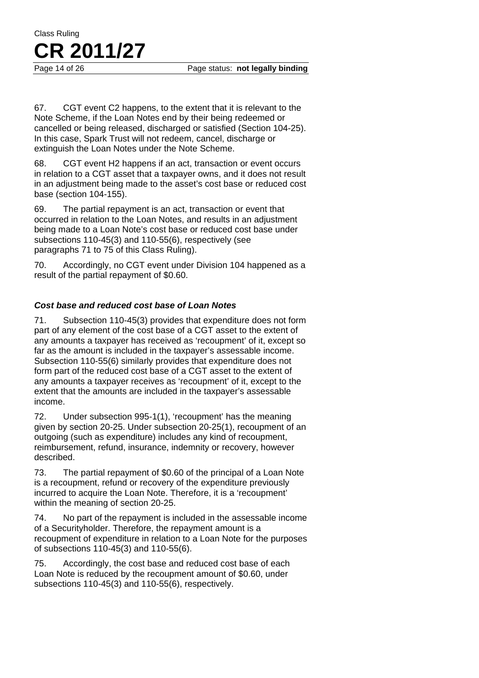Page 14 of 26 Page status: **not legally binding** 

67. CGT event C2 happens, to the extent that it is relevant to the Note Scheme, if the Loan Notes end by their being redeemed or cancelled or being released, discharged or satisfied (Section 104-25). In this case, Spark Trust will not redeem, cancel, discharge or extinguish the Loan Notes under the Note Scheme.

68. CGT event H2 happens if an act, transaction or event occurs in relation to a CGT asset that a taxpayer owns, and it does not result in an adjustment being made to the asset's cost base or reduced cost base (section 104-155).

69. The partial repayment is an act, transaction or event that occurred in relation to the Loan Notes, and results in an adjustment being made to a Loan Note's cost base or reduced cost base under subsections 110-45(3) and 110-55(6), respectively (see paragraphs 71 to 75 of this Class Ruling).

70. Accordingly, no CGT event under Division 104 happened as a result of the partial repayment of \$0.60.

# *Cost base and reduced cost base of Loan Notes*

71. Subsection 110-45(3) provides that expenditure does not form part of any element of the cost base of a CGT asset to the extent of any amounts a taxpayer has received as 'recoupment' of it, except so far as the amount is included in the taxpayer's assessable income. Subsection 110-55(6) similarly provides that expenditure does not form part of the reduced cost base of a CGT asset to the extent of any amounts a taxpayer receives as 'recoupment' of it, except to the extent that the amounts are included in the taxpayer's assessable income.

72. Under subsection 995-1(1), 'recoupment' has the meaning given by section 20-25. Under subsection 20-25(1), recoupment of an outgoing (such as expenditure) includes any kind of recoupment, reimbursement, refund, insurance, indemnity or recovery, however described.

73. The partial repayment of \$0.60 of the principal of a Loan Note is a recoupment, refund or recovery of the expenditure previously incurred to acquire the Loan Note. Therefore, it is a 'recoupment' within the meaning of section 20-25.

74. No part of the repayment is included in the assessable income of a Securityholder. Therefore, the repayment amount is a recoupment of expenditure in relation to a Loan Note for the purposes of subsections 110-45(3) and 110-55(6).

75. Accordingly, the cost base and reduced cost base of each Loan Note is reduced by the recoupment amount of \$0.60, under subsections 110-45(3) and 110-55(6), respectively.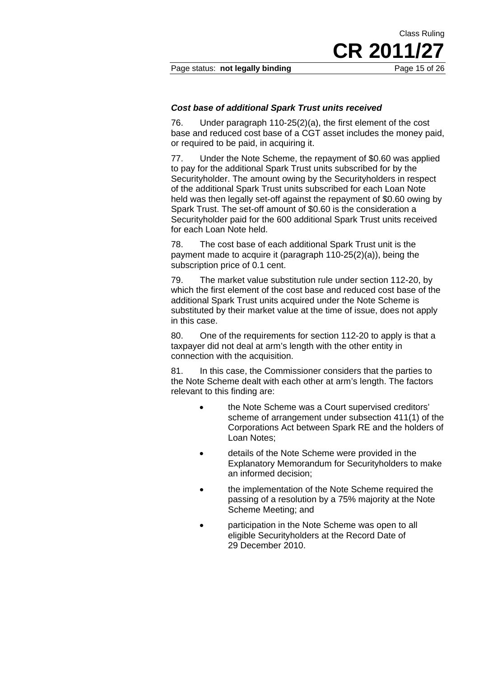Page status: **not legally binding** Page 15 of 26

Class Ruling **CR 2011/27**

### *Cost base of additional Spark Trust units received*

76. Under paragraph 110-25(2)(a), the first element of the cost base and reduced cost base of a CGT asset includes the money paid, or required to be paid, in acquiring it.

77. Under the Note Scheme, the repayment of \$0.60 was applied to pay for the additional Spark Trust units subscribed for by the Securityholder. The amount owing by the Securityholders in respect of the additional Spark Trust units subscribed for each Loan Note held was then legally set-off against the repayment of \$0.60 owing by Spark Trust. The set-off amount of \$0.60 is the consideration a Securityholder paid for the 600 additional Spark Trust units received for each Loan Note held.

78. The cost base of each additional Spark Trust unit is the payment made to acquire it (paragraph 110-25(2)(a)), being the subscription price of 0.1 cent.

79. The market value substitution rule under section 112-20, by which the first element of the cost base and reduced cost base of the additional Spark Trust units acquired under the Note Scheme is substituted by their market value at the time of issue, does not apply in this case.

80. One of the requirements for section 112-20 to apply is that a taxpayer did not deal at arm's length with the other entity in connection with the acquisition.

81. In this case, the Commissioner considers that the parties to the Note Scheme dealt with each other at arm's length. The factors relevant to this finding are:

- the Note Scheme was a Court supervised creditors' scheme of arrangement under subsection 411(1) of the Corporations Act between Spark RE and the holders of Loan Notes;
- details of the Note Scheme were provided in the Explanatory Memorandum for Securityholders to make an informed decision;
- the implementation of the Note Scheme required the passing of a resolution by a 75% majority at the Note Scheme Meeting; and
- participation in the Note Scheme was open to all eligible Securityholders at the Record Date of 29 December 2010.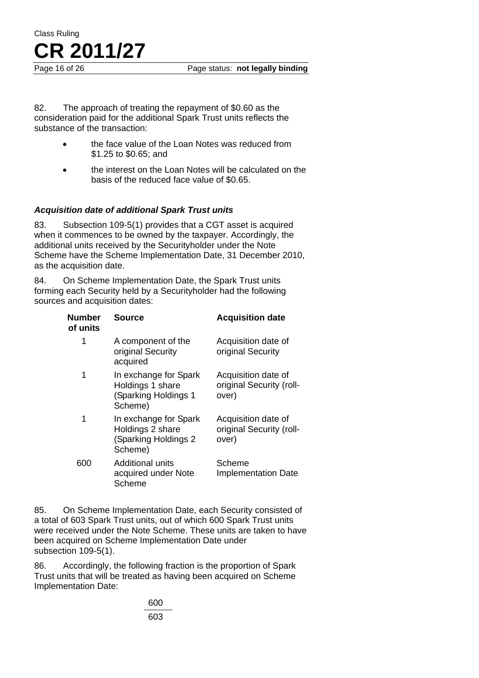Page 16 of 26 Page status: **not legally binding** 

82. The approach of treating the repayment of \$0.60 as the consideration paid for the additional Spark Trust units reflects the substance of the transaction:

- the face value of the Loan Notes was reduced from \$1.25 to \$0.65; and
- the interest on the Loan Notes will be calculated on the basis of the reduced face value of \$0.65.

# *Acquisition date of additional Spark Trust units*

83. Subsection 109-5(1) provides that a CGT asset is acquired when it commences to be owned by the taxpayer. Accordingly, the additional units received by the Securityholder under the Note Scheme have the Scheme Implementation Date, 31 December 2010, as the acquisition date.

84. On Scheme Implementation Date, the Spark Trust units forming each Security held by a Securityholder had the following sources and acquisition dates:

| <b>Number</b><br>of units | <b>Source</b>                                                                 | <b>Acquisition date</b>                                  |
|---------------------------|-------------------------------------------------------------------------------|----------------------------------------------------------|
| 1                         | A component of the<br>original Security<br>acquired                           | Acquisition date of<br>original Security                 |
| 1                         | In exchange for Spark<br>Holdings 1 share<br>(Sparking Holdings 1<br>Scheme)  | Acquisition date of<br>original Security (roll-<br>over) |
| 1                         | In exchange for Spark<br>Holdings 2 share<br>(Sparking Holdings 2)<br>Scheme) | Acquisition date of<br>original Security (roll-<br>over) |
| 600                       | Additional units<br>acquired under Note<br>Scheme                             | Scheme<br><b>Implementation Date</b>                     |

85. On Scheme Implementation Date, each Security consisted of a total of 603 Spark Trust units, out of which 600 Spark Trust units were received under the Note Scheme. These units are taken to have been acquired on Scheme Implementation Date under subsection 109-5(1).

86. Accordingly, the following fraction is the proportion of Spark Trust units that will be treated as having been acquired on Scheme Implementation Date:

> 600 603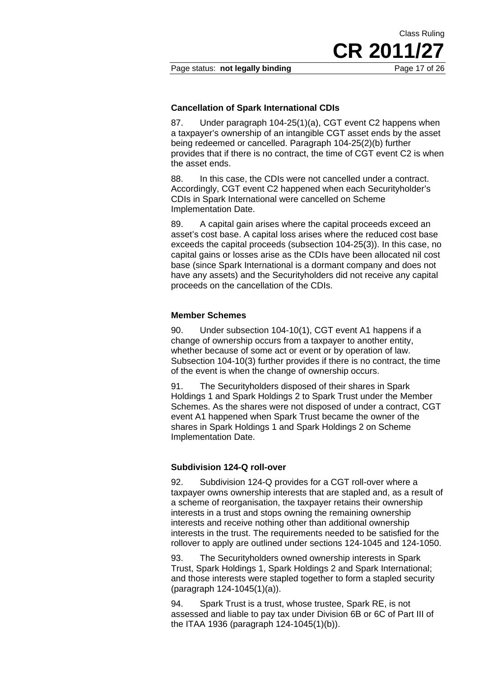**CR 2011/27**

Class Ruling

### **Cancellation of Spark International CDIs**

87. Under paragraph 104-25(1)(a), CGT event C2 happens when a taxpayer's ownership of an intangible CGT asset ends by the asset being redeemed or cancelled. Paragraph 104-25(2)(b) further provides that if there is no contract, the time of CGT event C2 is when the asset ends.

88. In this case, the CDIs were not cancelled under a contract. Accordingly, CGT event C2 happened when each Securityholder's CDIs in Spark International were cancelled on Scheme Implementation Date.

89. A capital gain arises where the capital proceeds exceed an asset's cost base. A capital loss arises where the reduced cost base exceeds the capital proceeds (subsection 104-25(3)). In this case, no capital gains or losses arise as the CDIs have been allocated nil cost base (since Spark International is a dormant company and does not have any assets) and the Securityholders did not receive any capital proceeds on the cancellation of the CDIs.

#### **Member Schemes**

90. Under subsection 104-10(1), CGT event A1 happens if a change of ownership occurs from a taxpayer to another entity, whether because of some act or event or by operation of law. Subsection 104-10(3) further provides if there is no contract, the time of the event is when the change of ownership occurs.

91. The Securityholders disposed of their shares in Spark Holdings 1 and Spark Holdings 2 to Spark Trust under the Member Schemes. As the shares were not disposed of under a contract, CGT event A1 happened when Spark Trust became the owner of the shares in Spark Holdings 1 and Spark Holdings 2 on Scheme Implementation Date.

#### **Subdivision 124-Q roll-over**

92. Subdivision 124-Q provides for a CGT roll-over where a taxpayer owns ownership interests that are stapled and, as a result of a scheme of reorganisation, the taxpayer retains their ownership interests in a trust and stops owning the remaining ownership interests and receive nothing other than additional ownership interests in the trust. The requirements needed to be satisfied for the rollover to apply are outlined under sections 124-1045 and 124-1050.

93. The Securityholders owned ownership interests in Spark Trust, Spark Holdings 1, Spark Holdings 2 and Spark International; and those interests were stapled together to form a stapled security (paragraph 124-1045(1)(a)).

94. Spark Trust is a trust, whose trustee, Spark RE, is not assessed and liable to pay tax under Division 6B or 6C of Part III of the ITAA 1936 (paragraph 124-1045(1)(b)).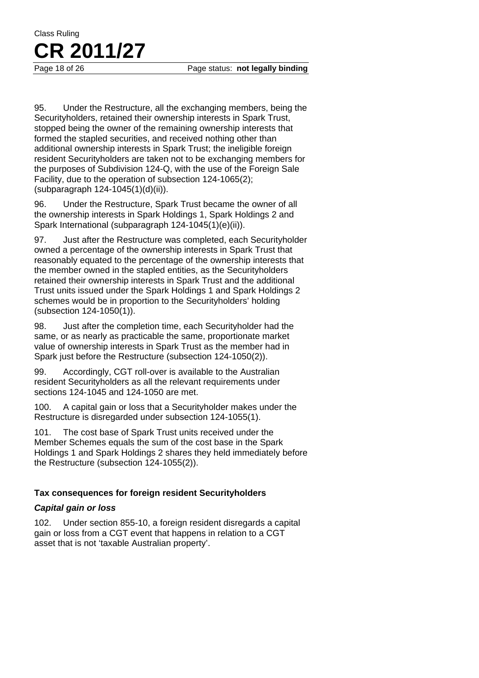95. Under the Restructure, all the exchanging members, being the Securityholders, retained their ownership interests in Spark Trust, stopped being the owner of the remaining ownership interests that formed the stapled securities, and received nothing other than additional ownership interests in Spark Trust; the ineligible foreign resident Securityholders are taken not to be exchanging members for the purposes of Subdivision 124-Q, with the use of the Foreign Sale Facility, due to the operation of subsection 124-1065(2); (subparagraph 124-1045(1)(d)(ii)).

96. Under the Restructure, Spark Trust became the owner of all the ownership interests in Spark Holdings 1, Spark Holdings 2 and Spark International (subparagraph 124-1045(1)(e)(ii)).

97. Just after the Restructure was completed, each Securityholder owned a percentage of the ownership interests in Spark Trust that reasonably equated to the percentage of the ownership interests that the member owned in the stapled entities, as the Securityholders retained their ownership interests in Spark Trust and the additional Trust units issued under the Spark Holdings 1 and Spark Holdings 2 schemes would be in proportion to the Securityholders' holding (subsection 124-1050(1)).

98. Just after the completion time, each Securityholder had the same, or as nearly as practicable the same, proportionate market value of ownership interests in Spark Trust as the member had in Spark just before the Restructure (subsection 124-1050(2)).

99. Accordingly, CGT roll-over is available to the Australian resident Securityholders as all the relevant requirements under sections 124-1045 and 124-1050 are met.

100. A capital gain or loss that a Securityholder makes under the Restructure is disregarded under subsection 124-1055(1).

101. The cost base of Spark Trust units received under the Member Schemes equals the sum of the cost base in the Spark Holdings 1 and Spark Holdings 2 shares they held immediately before the Restructure (subsection 124-1055(2)).

# **Tax consequences for foreign resident Securityholders**

# *Capital gain or loss*

102. Under section 855-10, a foreign resident disregards a capital gain or loss from a CGT event that happens in relation to a CGT asset that is not 'taxable Australian property'.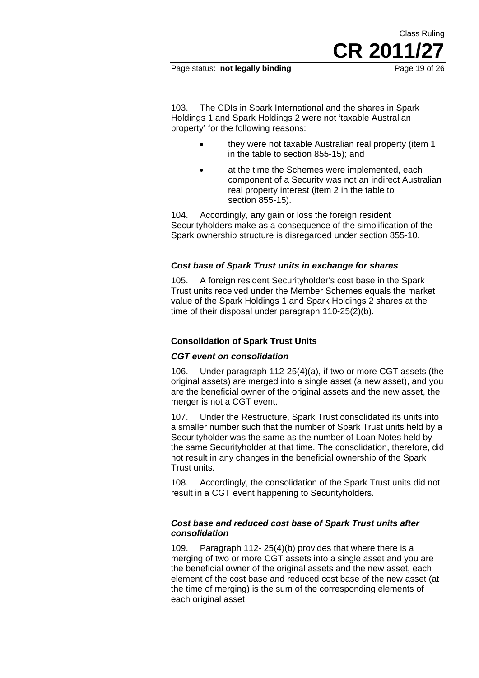Page status: **not legally binding** Page 19 of 26

**CR 2011/27**

Class Ruling

103. The CDIs in Spark International and the shares in Spark Holdings 1 and Spark Holdings 2 were not 'taxable Australian property' for the following reasons:

- they were not taxable Australian real property (item 1 in the table to section 855-15); and
- at the time the Schemes were implemented, each component of a Security was not an indirect Australian real property interest (item 2 in the table to section 855-15).

104. Accordingly, any gain or loss the foreign resident Securityholders make as a consequence of the simplification of the Spark ownership structure is disregarded under section 855-10.

# *Cost base of Spark Trust units in exchange for shares*

105. A foreign resident Securityholder's cost base in the Spark Trust units received under the Member Schemes equals the market value of the Spark Holdings 1 and Spark Holdings 2 shares at the time of their disposal under paragraph 110-25(2)(b).

# **Consolidation of Spark Trust Units**

# *CGT event on consolidation*

106. Under paragraph 112-25(4)(a), if two or more CGT assets (the original assets) are merged into a single asset (a new asset), and you are the beneficial owner of the original assets and the new asset, the merger is not a CGT event.

107. Under the Restructure, Spark Trust consolidated its units into a smaller number such that the number of Spark Trust units held by a Securityholder was the same as the number of Loan Notes held by the same Securityholder at that time. The consolidation, therefore, did not result in any changes in the beneficial ownership of the Spark Trust units.

108. Accordingly, the consolidation of the Spark Trust units did not result in a CGT event happening to Securityholders.

### *Cost base and reduced cost base of Spark Trust units after consolidation*

109. Paragraph 112- 25(4)(b) provides that where there is a merging of two or more CGT assets into a single asset and you are the beneficial owner of the original assets and the new asset, each element of the cost base and reduced cost base of the new asset (at the time of merging) is the sum of the corresponding elements of each original asset.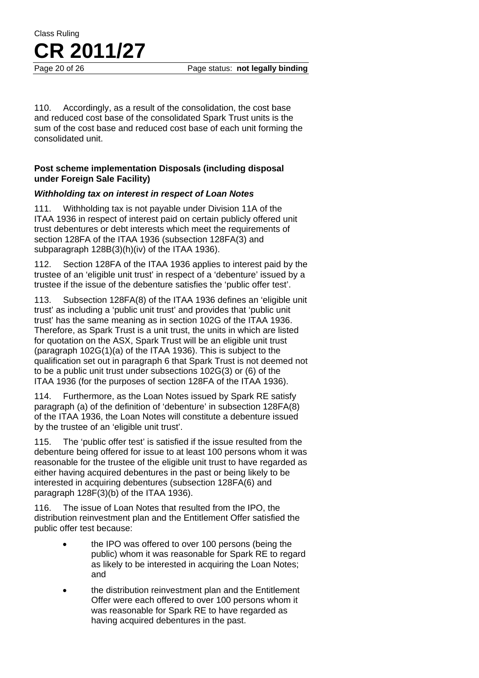110. Accordingly, as a result of the consolidation, the cost base and reduced cost base of the consolidated Spark Trust units is the sum of the cost base and reduced cost base of each unit forming the consolidated unit.

# **Post scheme implementation Disposals (including disposal under Foreign Sale Facility)**

# *Withholding tax on interest in respect of Loan Notes*

111. Withholding tax is not payable under Division 11A of the ITAA 1936 in respect of interest paid on certain publicly offered unit trust debentures or debt interests which meet the requirements of section 128FA of the ITAA 1936 (subsection 128FA(3) and subparagraph 128B(3)(h)(iv) of the ITAA 1936).

112. Section 128FA of the ITAA 1936 applies to interest paid by the trustee of an 'eligible unit trust' in respect of a 'debenture' issued by a trustee if the issue of the debenture satisfies the 'public offer test'.

113. Subsection 128FA(8) of the ITAA 1936 defines an 'eligible unit trust' as including a 'public unit trust' and provides that 'public unit trust' has the same meaning as in section 102G of the ITAA 1936. Therefore, as Spark Trust is a unit trust, the units in which are listed for quotation on the ASX, Spark Trust will be an eligible unit trust (paragraph 102G(1)(a) of the ITAA 1936). This is subject to the qualification set out in paragraph 6 that Spark Trust is not deemed not to be a public unit trust under subsections 102G(3) or (6) of the ITAA 1936 (for the purposes of section 128FA of the ITAA 1936).

114. Furthermore, as the Loan Notes issued by Spark RE satisfy paragraph (a) of the definition of 'debenture' in subsection 128FA(8) of the ITAA 1936, the Loan Notes will constitute a debenture issued by the trustee of an 'eligible unit trust'.

115. The 'public offer test' is satisfied if the issue resulted from the debenture being offered for issue to at least 100 persons whom it was reasonable for the trustee of the eligible unit trust to have regarded as either having acquired debentures in the past or being likely to be interested in acquiring debentures (subsection 128FA(6) and paragraph 128F(3)(b) of the ITAA 1936).

116. The issue of Loan Notes that resulted from the IPO, the distribution reinvestment plan and the Entitlement Offer satisfied the public offer test because:

- the IPO was offered to over 100 persons (being the public) whom it was reasonable for Spark RE to regard as likely to be interested in acquiring the Loan Notes; and
- the distribution reinvestment plan and the Entitlement Offer were each offered to over 100 persons whom it was reasonable for Spark RE to have regarded as having acquired debentures in the past.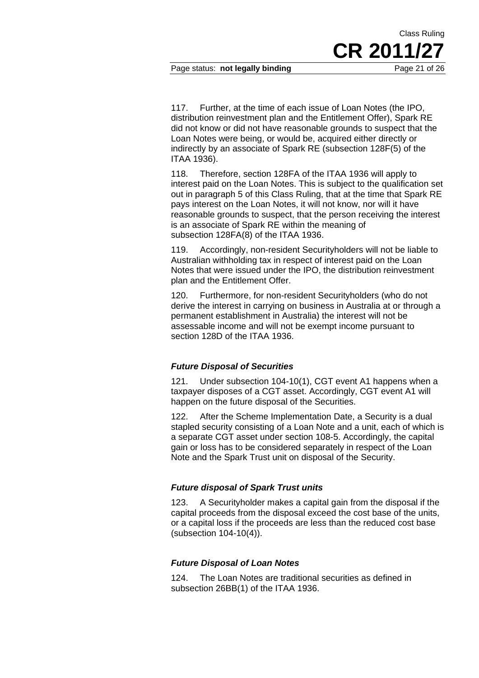Page status: **not legally binding** Page 21 of 26

117. Further, at the time of each issue of Loan Notes (the IPO, distribution reinvestment plan and the Entitlement Offer), Spark RE did not know or did not have reasonable grounds to suspect that the Loan Notes were being, or would be, acquired either directly or indirectly by an associate of Spark RE (subsection 128F(5) of the ITAA 1936).

Class Ruling

**CR 2011/27**

118. Therefore, section 128FA of the ITAA 1936 will apply to interest paid on the Loan Notes. This is subject to the qualification set out in paragraph 5 of this Class Ruling, that at the time that Spark RE pays interest on the Loan Notes, it will not know, nor will it have reasonable grounds to suspect, that the person receiving the interest is an associate of Spark RE within the meaning of subsection 128FA(8) of the ITAA 1936.

119. Accordingly, non-resident Securityholders will not be liable to Australian withholding tax in respect of interest paid on the Loan Notes that were issued under the IPO, the distribution reinvestment plan and the Entitlement Offer.

120. Furthermore, for non-resident Securityholders (who do not derive the interest in carrying on business in Australia at or through a permanent establishment in Australia) the interest will not be assessable income and will not be exempt income pursuant to section 128D of the ITAA 1936.

# *Future Disposal of Securities*

121. Under subsection 104-10(1), CGT event A1 happens when a taxpayer disposes of a CGT asset. Accordingly, CGT event A1 will happen on the future disposal of the Securities.

122. After the Scheme Implementation Date, a Security is a dual stapled security consisting of a Loan Note and a unit, each of which is a separate CGT asset under section 108-5. Accordingly, the capital gain or loss has to be considered separately in respect of the Loan Note and the Spark Trust unit on disposal of the Security.

# *Future disposal of Spark Trust units*

123. A Securityholder makes a capital gain from the disposal if the capital proceeds from the disposal exceed the cost base of the units, or a capital loss if the proceeds are less than the reduced cost base (subsection 104-10(4)).

# *Future Disposal of Loan Notes*

124. The Loan Notes are traditional securities as defined in subsection 26BB(1) of the ITAA 1936.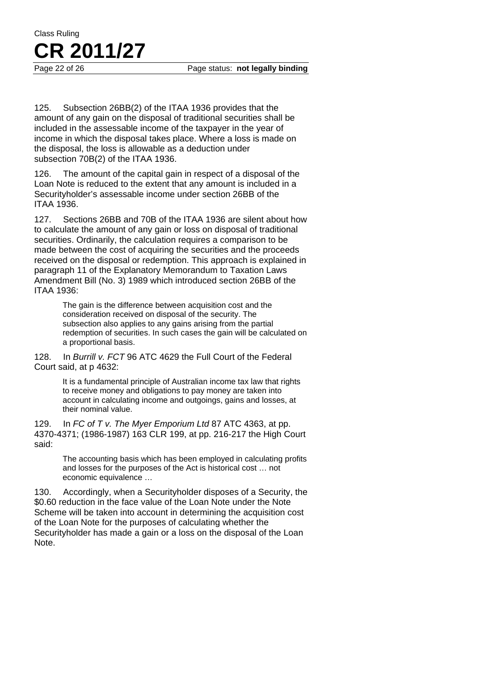Page 22 of 26 Page status: **not legally binding** 

125. Subsection 26BB(2) of the ITAA 1936 provides that the amount of any gain on the disposal of traditional securities shall be included in the assessable income of the taxpayer in the year of income in which the disposal takes place. Where a loss is made on the disposal, the loss is allowable as a deduction under subsection 70B(2) of the ITAA 1936.

126. The amount of the capital gain in respect of a disposal of the Loan Note is reduced to the extent that any amount is included in a Securityholder's assessable income under section 26BB of the ITAA 1936.

127. Sections 26BB and 70B of the ITAA 1936 are silent about how to calculate the amount of any gain or loss on disposal of traditional securities. Ordinarily, the calculation requires a comparison to be made between the cost of acquiring the securities and the proceeds received on the disposal or redemption. This approach is explained in paragraph 11 of the Explanatory Memorandum to Taxation Laws Amendment Bill (No. 3) 1989 which introduced section 26BB of the ITAA 1936:

> The gain is the difference between acquisition cost and the consideration received on disposal of the security. The subsection also applies to any gains arising from the partial redemption of securities. In such cases the gain will be calculated on a proportional basis.

128. In *Burrill v. FCT* 96 ATC 4629 the Full Court of the Federal Court said, at p 4632:

> It is a fundamental principle of Australian income tax law that rights to receive money and obligations to pay money are taken into account in calculating income and outgoings, gains and losses, at their nominal value.

129. In *FC of T v. The Myer Emporium Ltd* 87 ATC 4363, at pp. 4370-4371; (1986-1987) 163 CLR 199, at pp. 216-217 the High Court said:

> The accounting basis which has been employed in calculating profits and losses for the purposes of the Act is historical cost … not economic equivalence …

130. Accordingly, when a Securityholder disposes of a Security, the \$0.60 reduction in the face value of the Loan Note under the Note Scheme will be taken into account in determining the acquisition cost of the Loan Note for the purposes of calculating whether the Securityholder has made a gain or a loss on the disposal of the Loan Note.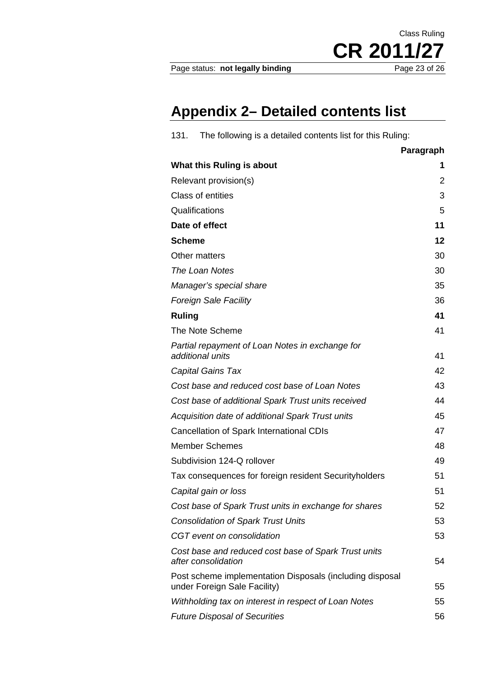Page status: not legally binding

CR 2011/27

Class Ruling

# **Appendix 2– Detailed contents list**

| 131.<br>The following is a detailed contents list for this Ruling:                       |           |  |  |
|------------------------------------------------------------------------------------------|-----------|--|--|
|                                                                                          | Paragraph |  |  |
| What this Ruling is about                                                                | 1         |  |  |
| Relevant provision(s)                                                                    |           |  |  |
| <b>Class of entities</b>                                                                 |           |  |  |
| Qualifications                                                                           |           |  |  |
| Date of effect                                                                           |           |  |  |
| <b>Scheme</b>                                                                            |           |  |  |
| Other matters                                                                            |           |  |  |
| The Loan Notes                                                                           |           |  |  |
| 35<br>Manager's special share                                                            |           |  |  |
| <b>Foreign Sale Facility</b>                                                             | 36        |  |  |
| <b>Ruling</b>                                                                            | 41        |  |  |
| The Note Scheme                                                                          | 41        |  |  |
| Partial repayment of Loan Notes in exchange for<br>additional units                      | 41        |  |  |
| Capital Gains Tax                                                                        | 42        |  |  |
| Cost base and reduced cost base of Loan Notes                                            | 43        |  |  |
| Cost base of additional Spark Trust units received                                       | 44        |  |  |
| Acquisition date of additional Spark Trust units                                         | 45        |  |  |
| Cancellation of Spark International CDIs                                                 |           |  |  |
| <b>Member Schemes</b>                                                                    |           |  |  |
| Subdivision 124-Q rollover                                                               | 49        |  |  |
| Tax consequences for foreign resident Securityholders                                    | 51        |  |  |
| Capital gain or loss                                                                     | 51        |  |  |
| Cost base of Spark Trust units in exchange for shares                                    | 52        |  |  |
| <b>Consolidation of Spark Trust Units</b>                                                | 53        |  |  |
| CGT event on consolidation                                                               | 53        |  |  |
| Cost base and reduced cost base of Spark Trust units<br>after consolidation              |           |  |  |
| Post scheme implementation Disposals (including disposal<br>under Foreign Sale Facility) | 55        |  |  |
| Withholding tax on interest in respect of Loan Notes                                     | 55        |  |  |
| <b>Future Disposal of Securities</b>                                                     |           |  |  |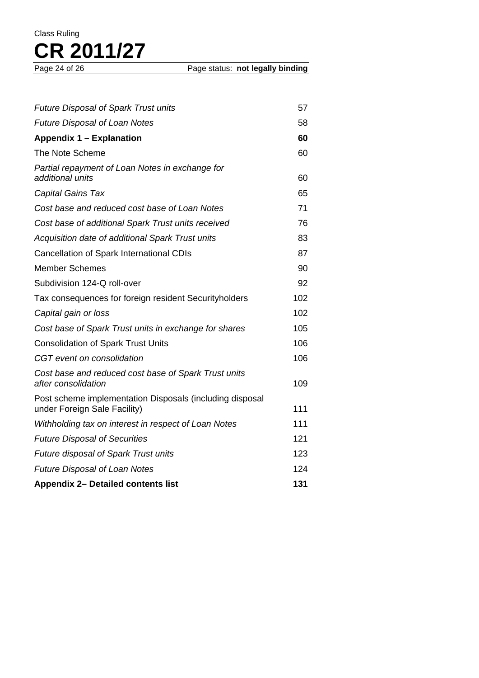| <b>Future Disposal of Spark Trust units</b>                                              | 57  |  |
|------------------------------------------------------------------------------------------|-----|--|
| <b>Future Disposal of Loan Notes</b>                                                     | 58  |  |
| Appendix 1 – Explanation                                                                 | 60  |  |
| The Note Scheme                                                                          | 60  |  |
| Partial repayment of Loan Notes in exchange for<br>additional units                      | 60  |  |
| <b>Capital Gains Tax</b>                                                                 | 65  |  |
| Cost base and reduced cost base of Loan Notes                                            | 71  |  |
| Cost base of additional Spark Trust units received                                       | 76  |  |
| Acquisition date of additional Spark Trust units                                         | 83  |  |
| Cancellation of Spark International CDIs                                                 | 87  |  |
| <b>Member Schemes</b>                                                                    | 90  |  |
| Subdivision 124-Q roll-over                                                              | 92  |  |
| Tax consequences for foreign resident Securityholders                                    | 102 |  |
| Capital gain or loss                                                                     | 102 |  |
| Cost base of Spark Trust units in exchange for shares                                    | 105 |  |
| <b>Consolidation of Spark Trust Units</b>                                                | 106 |  |
| CGT event on consolidation                                                               | 106 |  |
| Cost base and reduced cost base of Spark Trust units<br>after consolidation              | 109 |  |
| Post scheme implementation Disposals (including disposal<br>under Foreign Sale Facility) | 111 |  |
| Withholding tax on interest in respect of Loan Notes                                     | 111 |  |
| <b>Future Disposal of Securities</b>                                                     | 121 |  |
| Future disposal of Spark Trust units                                                     | 123 |  |
| <b>Future Disposal of Loan Notes</b>                                                     | 124 |  |
| <b>Appendix 2- Detailed contents list</b>                                                |     |  |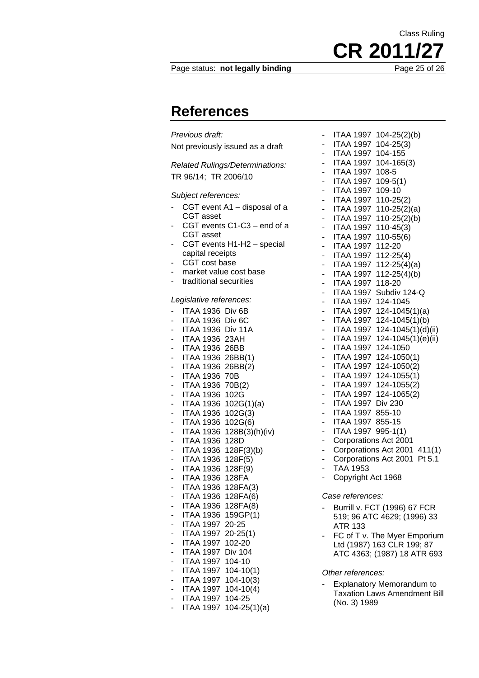#### Page status: **not legally binding** Page 25 of 26

**References** 

*Previous draft:*  Not previously issued as a draft

*Related Rulings/Determinations:*  TR 96/14; TR 2006/10

#### *Subject references:*

- CGT event A1 disposal of a CGT asset
- CGT events C1-C3 end of a CGT asset
- CGT events H1-H2 special capital receipts
- CGT cost base
- market value cost base
- traditional securities

#### *Legislative references:*

| ITAA 1936 Div 6B      |                          |
|-----------------------|--------------------------|
| ITAA 1936 Div 6C      |                          |
| ITAA 1936 Div 11A     |                          |
| <b>ITAA 1936 23AH</b> |                          |
| <b>ITAA 1936 26BB</b> |                          |
| ITAA 1936 26BB(1)     |                          |
| ITAA 1936 26BB(2)     |                          |
| <b>ITAA 1936 70B</b>  |                          |
| ITAA 1936 70B(2)      |                          |
| ITAA 1936 102G        |                          |
|                       | ITAA 1936 102G(1)(a)     |
| ITAA 1936 102G(3)     |                          |
| ITAA 1936 102G(6)     |                          |
|                       | ITAA 1936 128B(3)(h)(iv) |
| ITAA 1936 128D        |                          |
| ITAA 1936 128F(3)(b)  |                          |
| ITAA 1936 128F(5)     |                          |
| ITAA 1936 128F(9)     |                          |
| ITAA 1936 128FA       |                          |
| ITAA 1936 128FA(3)    |                          |
| ITAA 1936 128FA(6)    |                          |
| ITAA 1936 128FA(8)    |                          |
| ITAA 1936 159GP(1)    |                          |
| ITAA 1997             | 20-25                    |
| <b>ITAA 1997</b>      | $20 - 25(1)$             |
| ITAA 1997 102-20      |                          |
| ITAA 1997 Div 104     |                          |
| ITAA 1997 104-10      |                          |
| ITAA 1997 104-10(1)   |                          |
| ITAA 1997 104-10(3)   |                          |
| ITAA 1997 104-10(4)   |                          |
| ITAA 1997 104-25      |                          |
|                       | ITAA 1997 104-25(1)(a)   |

- ITAA 1997 104-25(2)(b) - ITAA 1997 104-25(3) - ITAA 1997 104-155 - ITAA 1997 104-165(3) - ITAA 1997 108-5 - ITAA 1997 109-5(1) - ITAA 1997 109-10 - ITAA 1997 110-25(2) - ITAA 1997 110-25(2)(a) - ITAA 1997 110-25(2)(b) - ITAA 1997 110-45(3) - ITAA 1997 110-55(6) - ITAA 1997 112-20 - ITAA 1997 112-25(4) - ITAA 1997 112-25(4)(a) ITAA 1997 112-25(4)(b) - ITAA 1997 118-20 - ITAA 1997 Subdiv 124-Q - ITAA 1997 124-1045 - ITAA 1997 124-1045(1)(a) ITAA 1997 124-1045(1)(b)  $ITAA$  1997 124-1045 $(1)(d)(ii)$ ITAA 1997 124-1045(1)(e)(ii) - ITAA 1997 124-1050 - ITAA 1997 124-1050(1) - ITAA 1997 124-1050(2) - ITAA 1997 124-1055(1) ITAA 1997 124-1055(2) - ITAA 1997 124-1065(2) - ITAA 1997 Div 230 - ITAA 1997 855-10 - ITAA 1997 855-15 - ITAA 1997 995-1(1) - Corporations Act 2001 Corporations Act 2001 411(1) Corporations Act 2001 Pt 5.1 - TAA 1953 Copyright Act 1968 *Case references:*  - Burrill v. FCT (1996) 67 FCR 519; 96 ATC 4629; (1996) 33 ATR 133 FC of T v. The Myer Emporium Ltd (1987) 163 CLR 199; 87 ATC 4363; (1987) 18 ATR 693

#### *Other references:*

**Explanatory Memorandum to** Taxation Laws Amendment Bill (No. 3) 1989

Class Ruling **CR 2011/27**